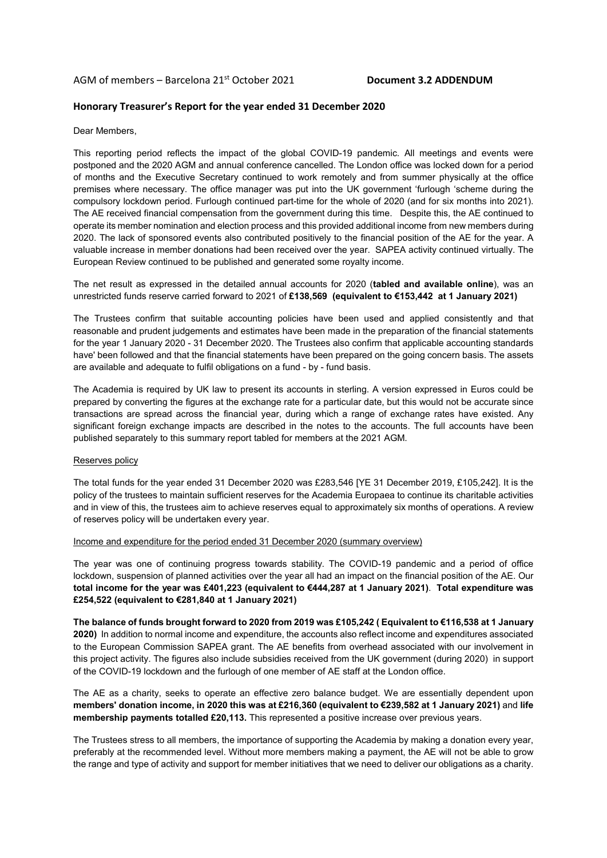### AGM of members – Barcelona 21st October 2021 **Document 3.2 ADDENDUM**

### **Honorary Treasurer's Report for the year ended 31 December 2020**

Dear Members,

This reporting period reflects the impact of the global COVID-19 pandemic. All meetings and events were postponed and the 2020 AGM and annual conference cancelled. The London office was locked down for a period of months and the Executive Secretary continued to work remotely and from summer physically at the office premises where necessary. The office manager was put into the UK government 'furlough 'scheme during the compulsory lockdown period. Furlough continued part-time for the whole of 2020 (and for six months into 2021). The AE received financial compensation from the government during this time. Despite this, the AE continued to operate its member nomination and election process and this provided additional income from new members during 2020. The lack of sponsored events also contributed positively to the financial position of the AE for the year. A valuable increase in member donations had been received over the year. SAPEA activity continued virtually. The European Review continued to be published and generated some royalty income.

The net result as expressed in the detailed annual accounts for 2020 (**tabled and available online**), was an unrestricted funds reserve carried forward to 2021 of **£138,569 (equivalent to €153,442 at 1 January 2021)**

The Trustees confirm that suitable accounting policies have been used and applied consistently and that reasonable and prudent judgements and estimates have been made in the preparation of the financial statements for the year 1 January 2020 - 31 December 2020. The Trustees also confirm that applicable accounting standards have' been followed and that the financial statements have been prepared on the going concern basis. The assets are available and adequate to fulfil obligations on a fund - by - fund basis.

The Academia is required by UK law to present its accounts in sterling. A version expressed in Euros could be prepared by converting the figures at the exchange rate for a particular date, but this would not be accurate since transactions are spread across the financial year, during which a range of exchange rates have existed. Any significant foreign exchange impacts are described in the notes to the accounts. The full accounts have been published separately to this summary report tabled for members at the 2021 AGM.

#### Reserves policy

The total funds for the year ended 31 December 2020 was £283,546 [YE 31 December 2019, £105,242]. It is the policy of the trustees to maintain sufficient reserves for the Academia Europaea to continue its charitable activities and in view of this, the trustees aim to achieve reserves equal to approximately six months of operations. A review of reserves policy will be undertaken every year.

#### Income and expenditure for the period ended 31 December 2020 (summary overview)

The year was one of continuing progress towards stability. The COVID-19 pandemic and a period of office lockdown, suspension of planned activities over the year all had an impact on the financial position of the AE. Our **total income for the year was £401,223 (equivalent to €444,287 at 1 January 2021)**. **Total expenditure was £254,522 (equivalent to €281,840 at 1 January 2021)**

**The balance of funds brought forward to 2020 from 2019 was £105,242 ( Equivalent to €116,538 at 1 January 2020)** In addition to normal income and expenditure, the accounts also reflect income and expenditures associated to the European Commission SAPEA grant. The AE benefits from overhead associated with our involvement in this project activity. The figures also include subsidies received from the UK government (during 2020) in support of the COVID-19 lockdown and the furlough of one member of AE staff at the London office.

The AE as a charity, seeks to operate an effective zero balance budget. We are essentially dependent upon **members' donation income, in 2020 this was at £216,360 (equivalent to €239,582 at 1 January 2021)** and **life membership payments totalled £20,113.** This represented a positive increase over previous years.

The Trustees stress to all members, the importance of supporting the Academia by making a donation every year, preferably at the recommended level. Without more members making a payment, the AE will not be able to grow the range and type of activity and support for member initiatives that we need to deliver our obligations as a charity.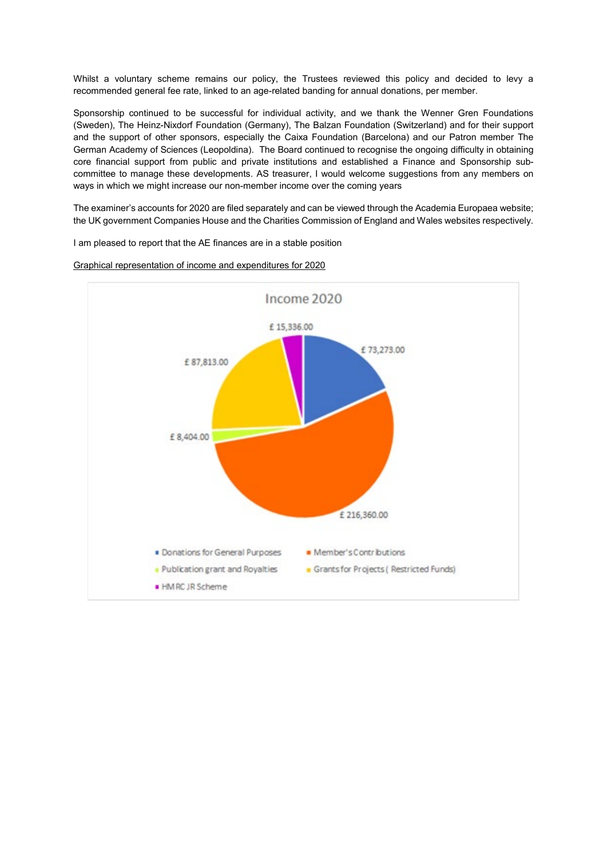Whilst a voluntary scheme remains our policy, the Trustees reviewed this policy and decided to levy a recommended general fee rate, linked to an age-related banding for annual donations, per member.

Sponsorship continued to be successful for individual activity, and we thank the Wenner Gren Foundations (Sweden), The Heinz-Nixdorf Foundation (Germany), The Balzan Foundation (Switzerland) and for their support and the support of other sponsors, especially the Caixa Foundation (Barcelona) and our Patron member The German Academy of Sciences (Leopoldina). The Board continued to recognise the ongoing difficulty in obtaining core financial support from public and private institutions and established a Finance and Sponsorship subcommittee to manage these developments. AS treasurer, I would welcome suggestions from any members on ways in which we might increase our non-member income over the coming years

The examiner's accounts for 2020 are filed separately and can be viewed through the Academia Europaea website; the UK government Companies House and the Charities Commission of England and Wales websites respectively.

I am pleased to report that the AE finances are in a stable position



Graphical representation of income and expenditures for 2020